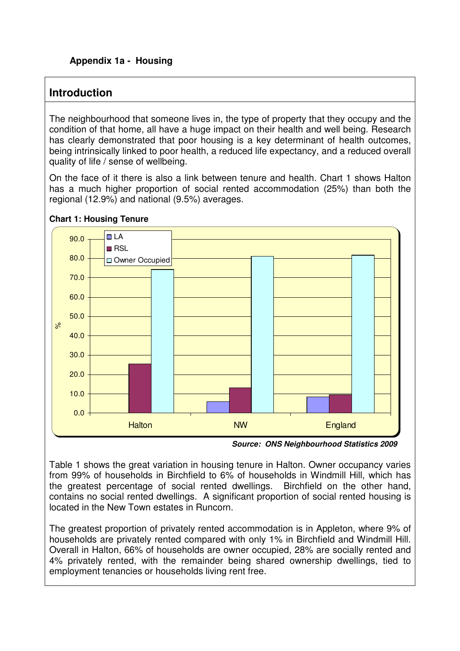# **Introduction**

The neighbourhood that someone lives in, the type of property that they occupy and the condition of that home, all have a huge impact on their health and well being. Research has clearly demonstrated that poor housing is a key determinant of health outcomes, being intrinsically linked to poor health, a reduced life expectancy, and a reduced overall quality of life / sense of wellbeing.

On the face of it there is also a link between tenure and health. Chart 1 shows Halton has a much higher proportion of social rented accommodation (25%) than both the regional (12.9%) and national (9.5%) averages.





Table 1 shows the great variation in housing tenure in Halton. Owner occupancy varies from 99% of households in Birchfield to 6% of households in Windmill Hill, which has the greatest percentage of social rented dwellings. Birchfield on the other hand, contains no social rented dwellings. A significant proportion of social rented housing is located in the New Town estates in Runcorn.

The greatest proportion of privately rented accommodation is in Appleton, where 9% of households are privately rented compared with only 1% in Birchfield and Windmill Hill. Overall in Halton, 66% of households are owner occupied, 28% are socially rented and 4% privately rented, with the remainder being shared ownership dwellings, tied to employment tenancies or households living rent free.

**Source: ONS Neighbourhood Statistics 2009**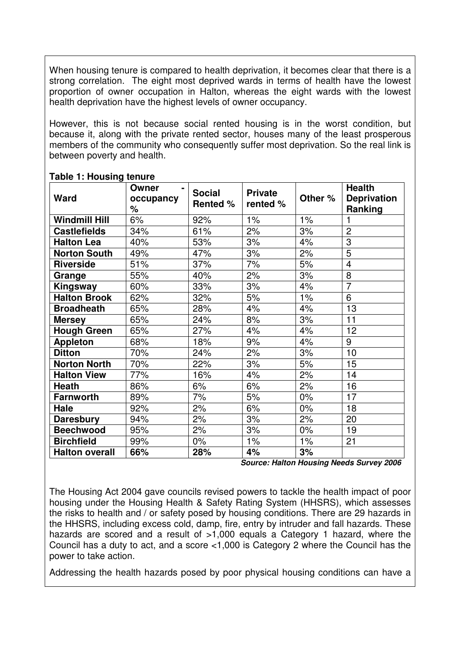When housing tenure is compared to health deprivation, it becomes clear that there is a strong correlation. The eight most deprived wards in terms of health have the lowest proportion of owner occupation in Halton, whereas the eight wards with the lowest health deprivation have the highest levels of owner occupancy.

However, this is not because social rented housing is in the worst condition, but because it, along with the private rented sector, houses many of the least prosperous members of the community who consequently suffer most deprivation. So the real link is between poverty and health.

| Ward                  | Owner<br>occupancy<br>$\%$ | <b>Social</b><br><b>Rented %</b> | <b>Private</b><br>rented % | Other % | <b>Health</b><br><b>Deprivation</b><br>Ranking |
|-----------------------|----------------------------|----------------------------------|----------------------------|---------|------------------------------------------------|
| <b>Windmill Hill</b>  | 6%                         | 92%                              | $1\%$                      | $1\%$   |                                                |
| <b>Castlefields</b>   | 34%                        | 61%                              | 2%                         | 3%      | $\overline{2}$                                 |
| <b>Halton Lea</b>     | 40%                        | 53%                              | 3%                         | 4%      | $\overline{3}$                                 |
| <b>Norton South</b>   | 49%                        | 47%                              | 3%                         | 2%      | $\overline{5}$                                 |
| <b>Riverside</b>      | 51%                        | 37%                              | 7%                         | 5%      | $\overline{4}$                                 |
| Grange                | 55%                        | 40%                              | 2%                         | 3%      | 8                                              |
| Kingsway              | 60%                        | 33%                              | 3%                         | 4%      | $\overline{7}$                                 |
| <b>Halton Brook</b>   | 62%                        | 32%                              | 5%                         | 1%      | 6                                              |
| <b>Broadheath</b>     | 65%                        | 28%                              | 4%                         | 4%      | 13                                             |
| <b>Mersey</b>         | 65%                        | 24%                              | 8%                         | 3%      | 11                                             |
| <b>Hough Green</b>    | 65%                        | 27%                              | 4%                         | 4%      | 12                                             |
| <b>Appleton</b>       | 68%                        | 18%                              | 9%                         | 4%      | 9                                              |
| <b>Ditton</b>         | 70%                        | 24%                              | 2%                         | 3%      | 10                                             |
| <b>Norton North</b>   | 70%                        | 22%                              | 3%                         | 5%      | 15                                             |
| <b>Halton View</b>    | 77%                        | 16%                              | 4%                         | 2%      | 14                                             |
| <b>Heath</b>          | 86%                        | 6%                               | 6%                         | 2%      | 16                                             |
| <b>Farnworth</b>      | 89%                        | 7%                               | 5%                         | 0%      | 17                                             |
| Hale                  | 92%                        | 2%                               | 6%                         | $0\%$   | 18                                             |
| <b>Daresbury</b>      | 94%                        | 2%                               | 3%                         | 2%      | 20                                             |
| <b>Beechwood</b>      | 95%                        | 2%                               | 3%                         | 0%      | 19                                             |
| <b>Birchfield</b>     | 99%                        | $0\%$                            | $1\%$                      | 1%      | 21                                             |
| <b>Halton overall</b> | 66%                        | 28%                              | 4%                         | 3%      |                                                |

#### **Table 1: Housing tenure**

 **Source: Halton Housing Needs Survey 2006** 

The Housing Act 2004 gave councils revised powers to tackle the health impact of poor housing under the Housing Health & Safety Rating System (HHSRS), which assesses the risks to health and / or safety posed by housing conditions. There are 29 hazards in the HHSRS, including excess cold, damp, fire, entry by intruder and fall hazards. These hazards are scored and a result of >1,000 equals a Category 1 hazard, where the Council has a duty to act, and a score <1,000 is Category 2 where the Council has the power to take action.

Addressing the health hazards posed by poor physical housing conditions can have a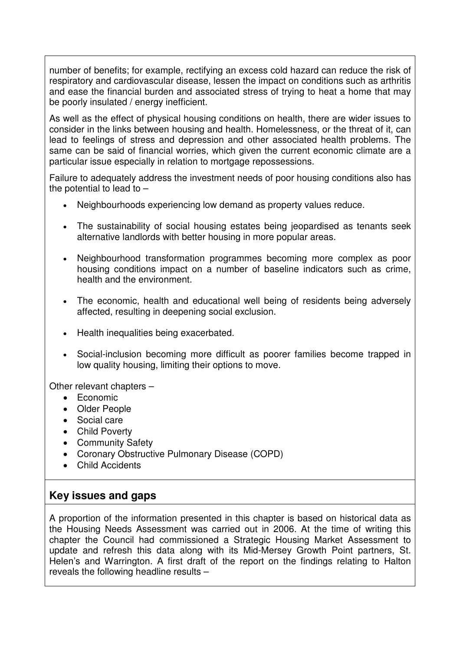number of benefits; for example, rectifying an excess cold hazard can reduce the risk of respiratory and cardiovascular disease, lessen the impact on conditions such as arthritis and ease the financial burden and associated stress of trying to heat a home that may be poorly insulated / energy inefficient.

As well as the effect of physical housing conditions on health, there are wider issues to consider in the links between housing and health. Homelessness, or the threat of it, can lead to feelings of stress and depression and other associated health problems. The same can be said of financial worries, which given the current economic climate are a particular issue especially in relation to mortgage repossessions.

Failure to adequately address the investment needs of poor housing conditions also has the potential to lead to  $-$ 

- Neighbourhoods experiencing low demand as property values reduce.
- The sustainability of social housing estates being jeopardised as tenants seek alternative landlords with better housing in more popular areas.
- Neighbourhood transformation programmes becoming more complex as poor housing conditions impact on a number of baseline indicators such as crime, health and the environment.
- The economic, health and educational well being of residents being adversely affected, resulting in deepening social exclusion.
- Health inequalities being exacerbated.
- Social-inclusion becoming more difficult as poorer families become trapped in low quality housing, limiting their options to move.

Other relevant chapters –

- Economic
- Older People
- Social care
- Child Poverty
- Community Safety
- Coronary Obstructive Pulmonary Disease (COPD)
- Child Accidents

### **Key issues and gaps**

A proportion of the information presented in this chapter is based on historical data as the Housing Needs Assessment was carried out in 2006. At the time of writing this chapter the Council had commissioned a Strategic Housing Market Assessment to update and refresh this data along with its Mid-Mersey Growth Point partners, St. Helen's and Warrington. A first draft of the report on the findings relating to Halton reveals the following headline results –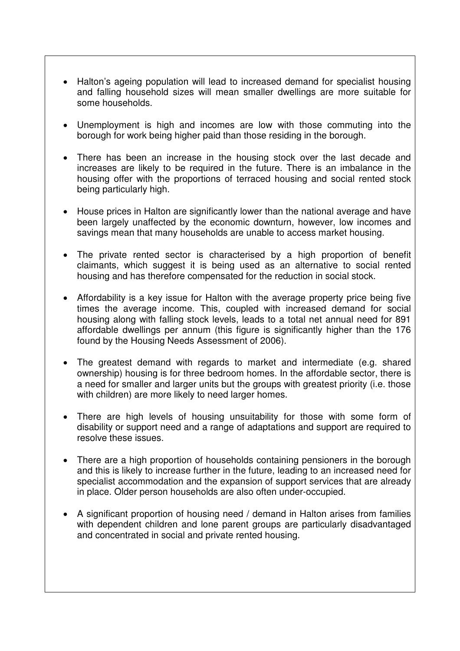- Halton's ageing population will lead to increased demand for specialist housing and falling household sizes will mean smaller dwellings are more suitable for some households.
- Unemployment is high and incomes are low with those commuting into the borough for work being higher paid than those residing in the borough.
- There has been an increase in the housing stock over the last decade and increases are likely to be required in the future. There is an imbalance in the housing offer with the proportions of terraced housing and social rented stock being particularly high.
- House prices in Halton are significantly lower than the national average and have been largely unaffected by the economic downturn, however, low incomes and savings mean that many households are unable to access market housing.
- The private rented sector is characterised by a high proportion of benefit claimants, which suggest it is being used as an alternative to social rented housing and has therefore compensated for the reduction in social stock.
- Affordability is a key issue for Halton with the average property price being five times the average income. This, coupled with increased demand for social housing along with falling stock levels, leads to a total net annual need for 891 affordable dwellings per annum (this figure is significantly higher than the 176 found by the Housing Needs Assessment of 2006).
- The greatest demand with regards to market and intermediate (e.g. shared ownership) housing is for three bedroom homes. In the affordable sector, there is a need for smaller and larger units but the groups with greatest priority (i.e. those with children) are more likely to need larger homes.
- There are high levels of housing unsuitability for those with some form of disability or support need and a range of adaptations and support are required to resolve these issues.
- There are a high proportion of households containing pensioners in the borough and this is likely to increase further in the future, leading to an increased need for specialist accommodation and the expansion of support services that are already in place. Older person households are also often under-occupied.
- A significant proportion of housing need / demand in Halton arises from families with dependent children and lone parent groups are particularly disadvantaged and concentrated in social and private rented housing.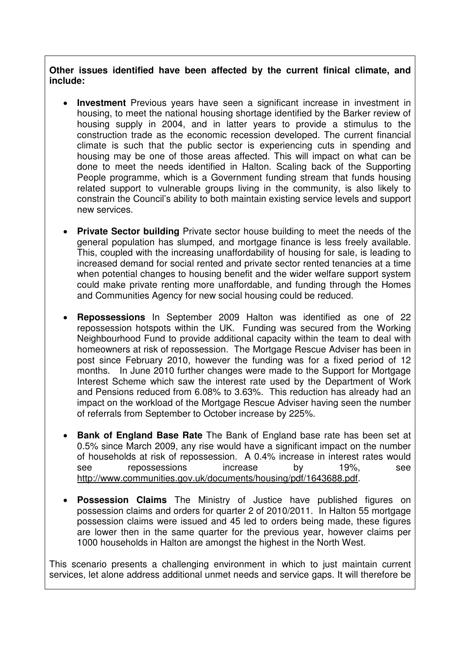**Other issues identified have been affected by the current finical climate, and include:** 

- **Investment** Previous years have seen a significant increase in investment in housing, to meet the national housing shortage identified by the Barker review of housing supply in 2004, and in latter years to provide a stimulus to the construction trade as the economic recession developed. The current financial climate is such that the public sector is experiencing cuts in spending and housing may be one of those areas affected. This will impact on what can be done to meet the needs identified in Halton. Scaling back of the Supporting People programme, which is a Government funding stream that funds housing related support to vulnerable groups living in the community, is also likely to constrain the Council's ability to both maintain existing service levels and support new services.
- **Private Sector building** Private sector house building to meet the needs of the general population has slumped, and mortgage finance is less freely available. This, coupled with the increasing unaffordability of housing for sale, is leading to increased demand for social rented and private sector rented tenancies at a time when potential changes to housing benefit and the wider welfare support system could make private renting more unaffordable, and funding through the Homes and Communities Agency for new social housing could be reduced.
- **Repossessions** In September 2009 Halton was identified as one of 22 repossession hotspots within the UK. Funding was secured from the Working Neighbourhood Fund to provide additional capacity within the team to deal with homeowners at risk of repossession. The Mortgage Rescue Adviser has been in post since February 2010, however the funding was for a fixed period of 12 months. In June 2010 further changes were made to the Support for Mortgage Interest Scheme which saw the interest rate used by the Department of Work and Pensions reduced from 6.08% to 3.63%. This reduction has already had an impact on the workload of the Mortgage Rescue Adviser having seen the number of referrals from September to October increase by 225%.
- **Bank of England Base Rate** The Bank of England base rate has been set at 0.5% since March 2009, any rise would have a significant impact on the number of households at risk of repossession. A 0.4% increase in interest rates would see repossessions increase by 19%, see http://www.communities.gov.uk/documents/housing/pdf/1643688.pdf.
- **Possession Claims** The Ministry of Justice have published figures on possession claims and orders for quarter 2 of 2010/2011. In Halton 55 mortgage possession claims were issued and 45 led to orders being made, these figures are lower then in the same quarter for the previous year, however claims per 1000 households in Halton are amongst the highest in the North West.

This scenario presents a challenging environment in which to just maintain current services, let alone address additional unmet needs and service gaps. It will therefore be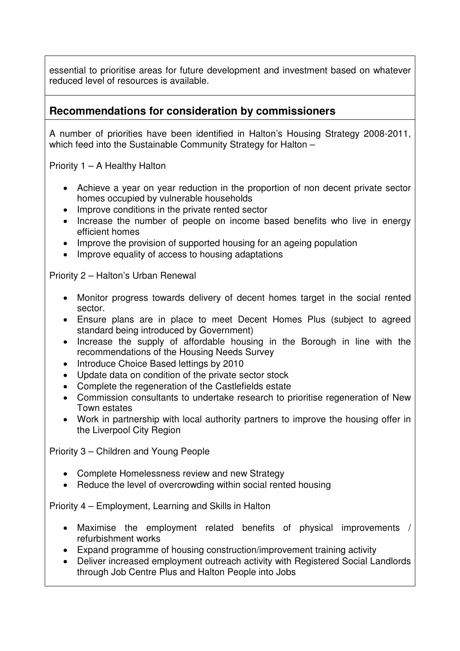essential to prioritise areas for future development and investment based on whatever reduced level of resources is available.

### **Recommendations for consideration by commissioners**

A number of priorities have been identified in Halton's Housing Strategy 2008-2011, which feed into the Sustainable Community Strategy for Halton -

Priority 1 – A Healthy Halton

- Achieve a year on year reduction in the proportion of non decent private sector homes occupied by vulnerable households
- Improve conditions in the private rented sector
- Increase the number of people on income based benefits who live in energy efficient homes
- Improve the provision of supported housing for an ageing population
- Improve equality of access to housing adaptations

Priority 2 – Halton's Urban Renewal

- Monitor progress towards delivery of decent homes target in the social rented sector.
- Ensure plans are in place to meet Decent Homes Plus (subject to agreed standard being introduced by Government)
- Increase the supply of affordable housing in the Borough in line with the recommendations of the Housing Needs Survey
- Introduce Choice Based lettings by 2010
- Update data on condition of the private sector stock
- Complete the regeneration of the Castlefields estate
- Commission consultants to undertake research to prioritise regeneration of New Town estates
- Work in partnership with local authority partners to improve the housing offer in the Liverpool City Region

Priority 3 – Children and Young People

- Complete Homelessness review and new Strategy
- Reduce the level of overcrowding within social rented housing

Priority 4 – Employment, Learning and Skills in Halton

- Maximise the employment related benefits of physical improvements / refurbishment works
- Expand programme of housing construction/improvement training activity
- Deliver increased employment outreach activity with Registered Social Landlords through Job Centre Plus and Halton People into Jobs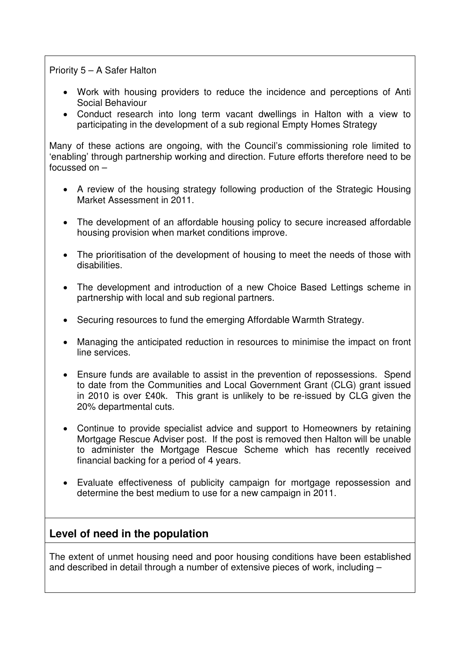#### Priority 5 – A Safer Halton

- Work with housing providers to reduce the incidence and perceptions of Anti Social Behaviour
- Conduct research into long term vacant dwellings in Halton with a view to participating in the development of a sub regional Empty Homes Strategy

Many of these actions are ongoing, with the Council's commissioning role limited to 'enabling' through partnership working and direction. Future efforts therefore need to be focussed on –

- A review of the housing strategy following production of the Strategic Housing Market Assessment in 2011.
- The development of an affordable housing policy to secure increased affordable housing provision when market conditions improve.
- The prioritisation of the development of housing to meet the needs of those with disabilities.
- The development and introduction of a new Choice Based Lettings scheme in partnership with local and sub regional partners.
- Securing resources to fund the emerging Affordable Warmth Strategy.
- Managing the anticipated reduction in resources to minimise the impact on front line services.
- Ensure funds are available to assist in the prevention of repossessions. Spend to date from the Communities and Local Government Grant (CLG) grant issued in 2010 is over £40k. This grant is unlikely to be re-issued by CLG given the 20% departmental cuts.
- Continue to provide specialist advice and support to Homeowners by retaining Mortgage Rescue Adviser post. If the post is removed then Halton will be unable to administer the Mortgage Rescue Scheme which has recently received financial backing for a period of 4 years.
- Evaluate effectiveness of publicity campaign for mortgage repossession and determine the best medium to use for a new campaign in 2011.

### **Level of need in the population**

The extent of unmet housing need and poor housing conditions have been established and described in detail through a number of extensive pieces of work, including –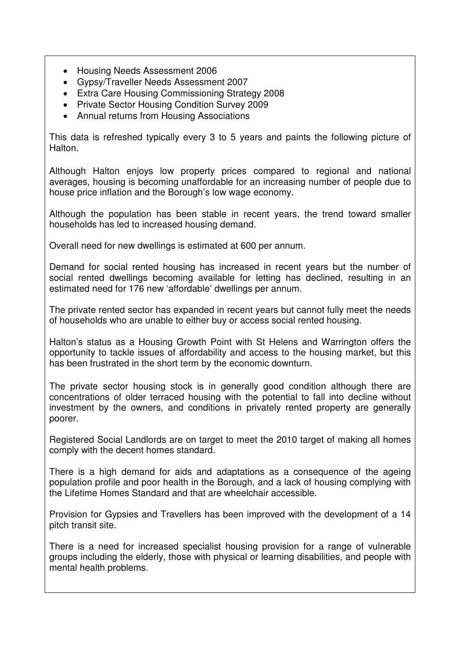- Housing Needs Assessment 2006
- Gypsy/Traveller Needs Assessment 2007
- Extra Care Housing Commissioning Strategy 2008
- Private Sector Housing Condition Survey 2009
- Annual returns from Housing Associations

This data is refreshed typically every 3 to 5 years and paints the following picture of Halton.

Although Halton enjoys low property prices compared to regional and national averages, housing is becoming unaffordable for an increasing number of people due to house price inflation and the Borough's low wage economy.

Although the population has been stable in recent years, the trend toward smaller households has led to increased housing demand.

Overall need for new dwellings is estimated at 600 per annum.

Demand for social rented housing has increased in recent years but the number of social rented dwellings becoming available for letting has declined, resulting in an estimated need for 176 new 'affordable' dwellings per annum.

The private rented sector has expanded in recent years but cannot fully meet the needs of households who are unable to either buy or access social rented housing.

Halton's status as a Housing Growth Point with St Helens and Warrington offers the opportunity to tackle issues of affordability and access to the housing market, but this has been frustrated in the short term by the economic downturn.

The private sector housing stock is in generally good condition although there are concentrations of older terraced housing with the potential to fall into decline without investment by the owners, and conditions in privately rented property are generally poorer.

Registered Social Landlords are on target to meet the 2010 target of making all homes comply with the decent homes standard.

There is a high demand for aids and adaptations as a consequence of the ageing population profile and poor health in the Borough, and a lack of housing complying with the Lifetime Homes Standard and that are wheelchair accessible.

Provision for Gypsies and Travellers has been improved with the development of a 14 pitch transit site.

There is a need for increased specialist housing provision for a range of vulnerable groups including the elderly, those with physical or learning disabilities, and people with mental health problems.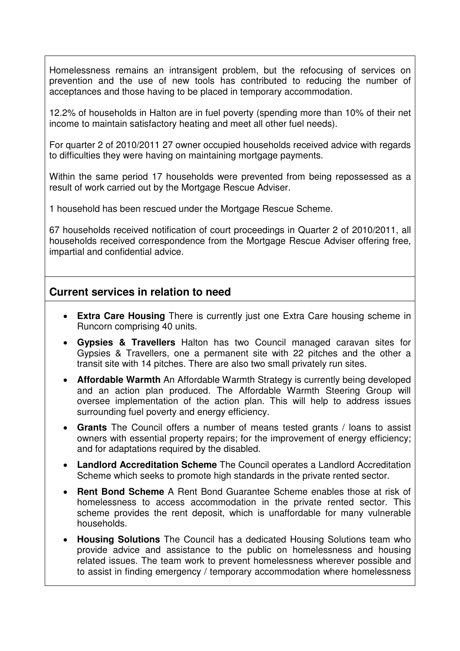Homelessness remains an intransigent problem, but the refocusing of services on prevention and the use of new tools has contributed to reducing the number of acceptances and those having to be placed in temporary accommodation.

12.2% of households in Halton are in fuel poverty (spending more than 10% of their net income to maintain satisfactory heating and meet all other fuel needs).

For quarter 2 of 2010/2011 27 owner occupied households received advice with regards to difficulties they were having on maintaining mortgage payments.

Within the same period 17 households were prevented from being repossessed as a result of work carried out by the Mortgage Rescue Adviser.

1 household has been rescued under the Mortgage Rescue Scheme.

67 households received notification of court proceedings in Quarter 2 of 2010/2011, all households received correspondence from the Mortgage Rescue Adviser offering free, impartial and confidential advice.

#### **Current services in relation to need**

- **Extra Care Housing** There is currently just one Extra Care housing scheme in Runcorn comprising 40 units.
- **Gypsies & Travellers** Halton has two Council managed caravan sites for Gypsies & Travellers, one a permanent site with 22 pitches and the other a transit site with 14 pitches. There are also two small privately run sites.
- **Affordable Warmth** An Affordable Warmth Strategy is currently being developed and an action plan produced. The Affordable Warmth Steering Group will oversee implementation of the action plan. This will help to address issues surrounding fuel poverty and energy efficiency.
- **Grants** The Council offers a number of means tested grants / loans to assist owners with essential property repairs; for the improvement of energy efficiency; and for adaptations required by the disabled.
- **Landlord Accreditation Scheme** The Council operates a Landlord Accreditation Scheme which seeks to promote high standards in the private rented sector.
- **Rent Bond Scheme** A Rent Bond Guarantee Scheme enables those at risk of homelessness to access accommodation in the private rented sector. This scheme provides the rent deposit, which is unaffordable for many vulnerable households.
- **Housing Solutions** The Council has a dedicated Housing Solutions team who provide advice and assistance to the public on homelessness and housing related issues. The team work to prevent homelessness wherever possible and to assist in finding emergency / temporary accommodation where homelessness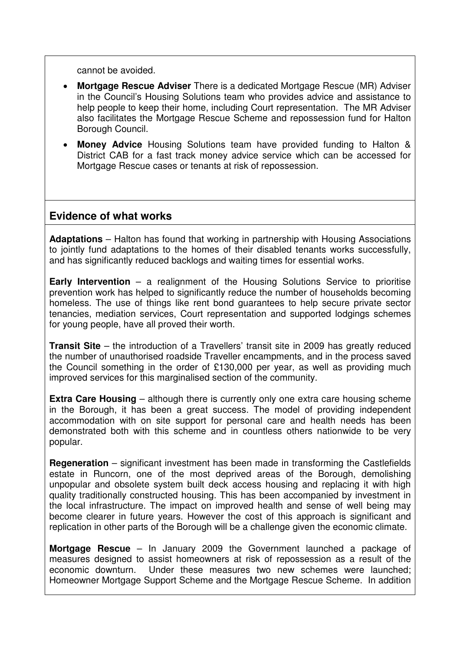cannot be avoided.

- **Mortgage Rescue Adviser** There is a dedicated Mortgage Rescue (MR) Adviser in the Council's Housing Solutions team who provides advice and assistance to help people to keep their home, including Court representation. The MR Adviser also facilitates the Mortgage Rescue Scheme and repossession fund for Halton Borough Council.
- **Money Advice** Housing Solutions team have provided funding to Halton & District CAB for a fast track money advice service which can be accessed for Mortgage Rescue cases or tenants at risk of repossession.

### **Evidence of what works**

**Adaptations** – Halton has found that working in partnership with Housing Associations to jointly fund adaptations to the homes of their disabled tenants works successfully, and has significantly reduced backlogs and waiting times for essential works.

**Early Intervention** – a realignment of the Housing Solutions Service to prioritise prevention work has helped to significantly reduce the number of households becoming homeless. The use of things like rent bond guarantees to help secure private sector tenancies, mediation services, Court representation and supported lodgings schemes for young people, have all proved their worth.

**Transit Site** – the introduction of a Travellers' transit site in 2009 has greatly reduced the number of unauthorised roadside Traveller encampments, and in the process saved the Council something in the order of £130,000 per year, as well as providing much improved services for this marginalised section of the community.

**Extra Care Housing** – although there is currently only one extra care housing scheme in the Borough, it has been a great success. The model of providing independent accommodation with on site support for personal care and health needs has been demonstrated both with this scheme and in countless others nationwide to be very popular.

**Regeneration** – significant investment has been made in transforming the Castlefields estate in Runcorn, one of the most deprived areas of the Borough, demolishing unpopular and obsolete system built deck access housing and replacing it with high quality traditionally constructed housing. This has been accompanied by investment in the local infrastructure. The impact on improved health and sense of well being may become clearer in future years. However the cost of this approach is significant and replication in other parts of the Borough will be a challenge given the economic climate.

**Mortgage Rescue** – In January 2009 the Government launched a package of measures designed to assist homeowners at risk of repossession as a result of the economic downturn. Under these measures two new schemes were launched; Homeowner Mortgage Support Scheme and the Mortgage Rescue Scheme. In addition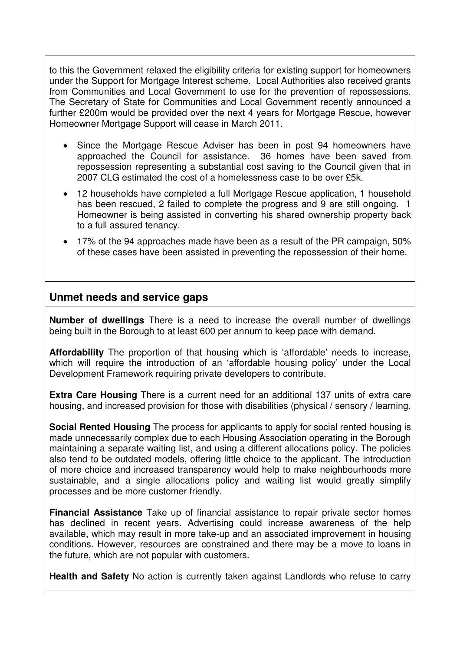to this the Government relaxed the eligibility criteria for existing support for homeowners under the Support for Mortgage Interest scheme. Local Authorities also received grants from Communities and Local Government to use for the prevention of repossessions. The Secretary of State for Communities and Local Government recently announced a further £200m would be provided over the next 4 years for Mortgage Rescue, however Homeowner Mortgage Support will cease in March 2011.

- Since the Mortgage Rescue Adviser has been in post 94 homeowners have approached the Council for assistance. 36 homes have been saved from repossession representing a substantial cost saving to the Council given that in 2007 CLG estimated the cost of a homelessness case to be over £5k.
- 12 households have completed a full Mortgage Rescue application, 1 household has been rescued, 2 failed to complete the progress and 9 are still ongoing. 1 Homeowner is being assisted in converting his shared ownership property back to a full assured tenancy.
- 17% of the 94 approaches made have been as a result of the PR campaign, 50% of these cases have been assisted in preventing the repossession of their home.

### **Unmet needs and service gaps**

**Number of dwellings** There is a need to increase the overall number of dwellings being built in the Borough to at least 600 per annum to keep pace with demand.

**Affordability** The proportion of that housing which is 'affordable' needs to increase, which will require the introduction of an 'affordable housing policy' under the Local Development Framework requiring private developers to contribute.

**Extra Care Housing** There is a current need for an additional 137 units of extra care housing, and increased provision for those with disabilities (physical / sensory / learning.

**Social Rented Housing** The process for applicants to apply for social rented housing is made unnecessarily complex due to each Housing Association operating in the Borough maintaining a separate waiting list, and using a different allocations policy. The policies also tend to be outdated models, offering little choice to the applicant. The introduction of more choice and increased transparency would help to make neighbourhoods more sustainable, and a single allocations policy and waiting list would greatly simplify processes and be more customer friendly.

**Financial Assistance** Take up of financial assistance to repair private sector homes has declined in recent years. Advertising could increase awareness of the help available, which may result in more take-up and an associated improvement in housing conditions. However, resources are constrained and there may be a move to loans in the future, which are not popular with customers.

**Health and Safety** No action is currently taken against Landlords who refuse to carry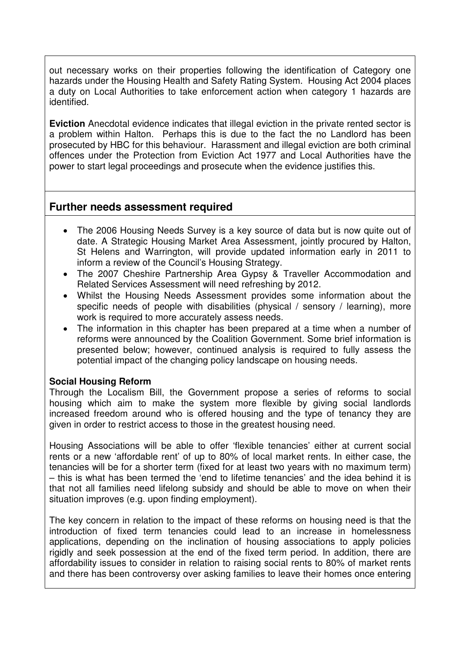out necessary works on their properties following the identification of Category one hazards under the Housing Health and Safety Rating System. Housing Act 2004 places a duty on Local Authorities to take enforcement action when category 1 hazards are identified.

**Eviction** Anecdotal evidence indicates that illegal eviction in the private rented sector is a problem within Halton. Perhaps this is due to the fact the no Landlord has been prosecuted by HBC for this behaviour. Harassment and illegal eviction are both criminal offences under the Protection from Eviction Act 1977 and Local Authorities have the power to start legal proceedings and prosecute when the evidence justifies this.

### **Further needs assessment required**

- The 2006 Housing Needs Survey is a key source of data but is now quite out of date. A Strategic Housing Market Area Assessment, jointly procured by Halton, St Helens and Warrington, will provide updated information early in 2011 to inform a review of the Council's Housing Strategy.
- The 2007 Cheshire Partnership Area Gypsy & Traveller Accommodation and Related Services Assessment will need refreshing by 2012.
- Whilst the Housing Needs Assessment provides some information about the specific needs of people with disabilities (physical / sensory / learning), more work is required to more accurately assess needs.
- The information in this chapter has been prepared at a time when a number of reforms were announced by the Coalition Government. Some brief information is presented below; however, continued analysis is required to fully assess the potential impact of the changing policy landscape on housing needs.

#### **Social Housing Reform**

Through the Localism Bill, the Government propose a series of reforms to social housing which aim to make the system more flexible by giving social landlords increased freedom around who is offered housing and the type of tenancy they are given in order to restrict access to those in the greatest housing need.

Housing Associations will be able to offer 'flexible tenancies' either at current social rents or a new 'affordable rent' of up to 80% of local market rents. In either case, the tenancies will be for a shorter term (fixed for at least two years with no maximum term) – this is what has been termed the 'end to lifetime tenancies' and the idea behind it is that not all families need lifelong subsidy and should be able to move on when their situation improves (e.g. upon finding employment).

The key concern in relation to the impact of these reforms on housing need is that the introduction of fixed term tenancies could lead to an increase in homelessness applications, depending on the inclination of housing associations to apply policies rigidly and seek possession at the end of the fixed term period. In addition, there are affordability issues to consider in relation to raising social rents to 80% of market rents and there has been controversy over asking families to leave their homes once entering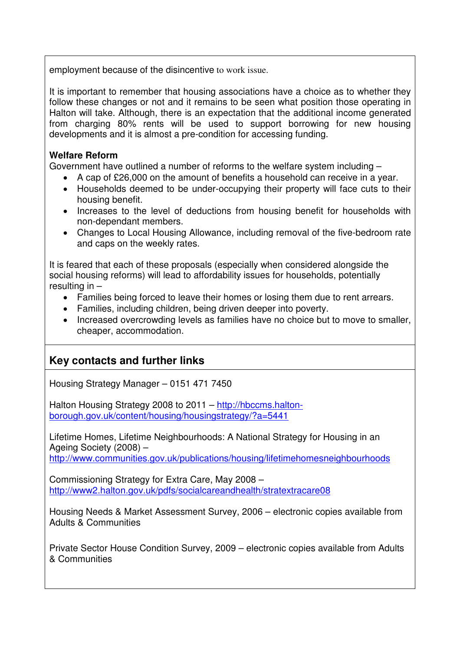employment because of the disincentive to work issue.

It is important to remember that housing associations have a choice as to whether they follow these changes or not and it remains to be seen what position those operating in Halton will take. Although, there is an expectation that the additional income generated from charging 80% rents will be used to support borrowing for new housing developments and it is almost a pre-condition for accessing funding.

#### **Welfare Reform**

Government have outlined a number of reforms to the welfare system including –

- A cap of £26,000 on the amount of benefits a household can receive in a year.
- Households deemed to be under-occupying their property will face cuts to their housing benefit.
- Increases to the level of deductions from housing benefit for households with non-dependant members.
- Changes to Local Housing Allowance, including removal of the five-bedroom rate and caps on the weekly rates.

It is feared that each of these proposals (especially when considered alongside the social housing reforms) will lead to affordability issues for households, potentially resulting in –

- Families being forced to leave their homes or losing them due to rent arrears.
- Families, including children, being driven deeper into poverty.
- Increased overcrowding levels as families have no choice but to move to smaller, cheaper, accommodation.

## **Key contacts and further links**

Housing Strategy Manager – 0151 471 7450

Halton Housing Strategy 2008 to 2011 – http://hbccms.haltonborough.gov.uk/content/housing/housingstrategy/?a=5441

Lifetime Homes, Lifetime Neighbourhoods: A National Strategy for Housing in an Ageing Society (2008) – http://www.communities.gov.uk/publications/housing/lifetimehomesneighbourhoods

Commissioning Strategy for Extra Care, May 2008 – http://www2.halton.gov.uk/pdfs/socialcareandhealth/stratextracare08

Housing Needs & Market Assessment Survey, 2006 – electronic copies available from Adults & Communities

Private Sector House Condition Survey, 2009 – electronic copies available from Adults & Communities